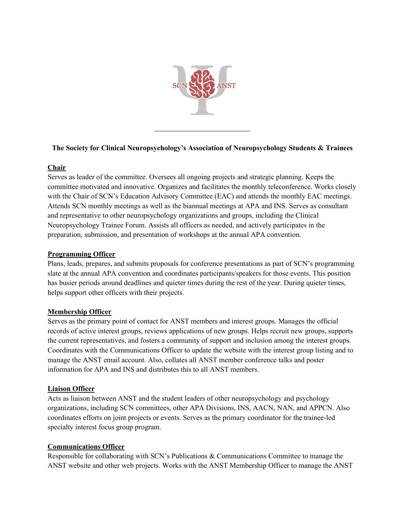

# **The Society for Clinical Neuropsychology's Association of Neuropsychology Students & Trainees**

## **Chair**

Serves as leader of the committee. Oversees all ongoing projects and strategic planning. Keeps the committee motivated and innovative. Organizes and facilitates the monthly teleconference. Works closely with the Chair of SCN's Education Advisory Committee (EAC) and attends the monthly EAC meetings. Attends SCN monthly meetings as well as the biannual meetings at APA and INS. Serves as consultant and representative to other neuropsychology organizations and groups, including the Clinical Neuropsychology Trainee Forum. Assists all officers as needed, and actively participates in the preparation, submission, and presentation of workshops at the annual APA convention.

#### **Programming Officer**

Plans, leads, prepares, and submits proposals for conference presentations as part of SCN's programming slate at the annual APA convention and coordinates participants/speakers for those events. This position has busier periods around deadlines and quieter times during the rest of the year. During quieter times, helps support other officers with their projects.

#### **Membership Officer**

Serves as the primary point of contact for ANST members and interest groups. Manages the official records of active interest groups, reviews applications of new groups. Helps recruit new groups, supports the current representatives, and fosters a community of support and inclusion among the interest groups. Coordinates with the Communications Officer to update the website with the interest group listing and to manage the ANST email account. Also, collates all ANST member conference talks and poster information for APA and INS and distributes this to all ANST members.

#### **Liaison Officer**

Acts as liaison between ANST and the student leaders of other neuropsychology and psychology organizations, including SCN committees, other APA Divisions, INS, AACN, NAN, and APPCN. Also coordinates efforts on joint projects or events. Serves as the primary coordinator for the trainee-led specialty interest focus group program.

#### **Communications Officer**

Responsible for collaborating with SCN's Publications & Communications Committee to manage the ANST website and other web projects. Works with the ANST Membership Officer to manage the ANST